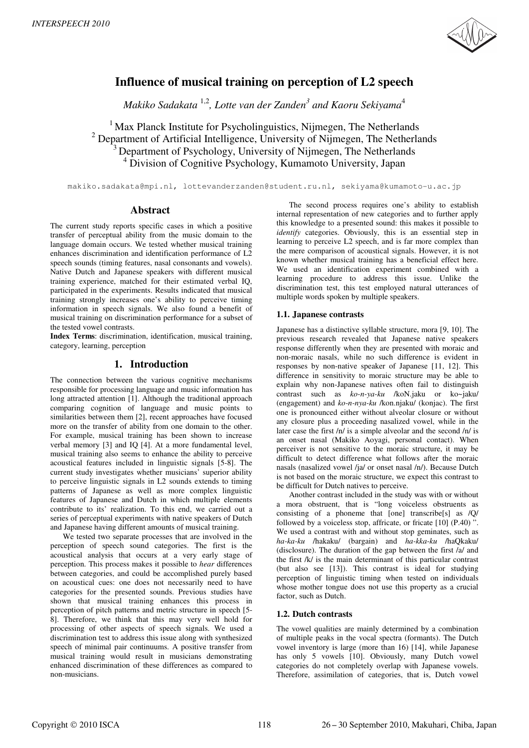

# **Influence of musical training on perception of L2 speech**

*Makiko Sadakata* 1,2*, Lotte van der Zanden<sup>3</sup> and Kaoru Sekiyama*<sup>4</sup>

 Max Planck Institute for Psycholinguistics, Nijmegen, The Netherlands Department of Artificial Intelligence, University of Nijmegen, The Netherlands Department of Psychology, University of Nijmegen, The Netherlands <sup>4</sup> Division of Cognitive Psychology, Kumamoto University, Japan

makiko.sadakata@mpi.nl, lottevanderzanden@student.ru.nl, sekiyama@kumamoto-u.ac.jp

## **Abstract**

The current study reports specific cases in which a positive transfer of perceptual ability from the music domain to the language domain occurs. We tested whether musical training enhances discrimination and identification performance of L2 speech sounds (timing features, nasal consonants and vowels). Native Dutch and Japanese speakers with different musical training experience, matched for their estimated verbal IQ, participated in the experiments. Results indicated that musical training strongly increases one's ability to perceive timing information in speech signals. We also found a benefit of musical training on discrimination performance for a subset of the tested vowel contrasts.

**Index Terms**: discrimination, identification, musical training, category, learning, perception

# **1. Introduction**

The connection between the various cognitive mechanisms responsible for processing language and music information has long attracted attention [1]. Although the traditional approach comparing cognition of language and music points to similarities between them [2], recent approaches have focused more on the transfer of ability from one domain to the other. For example, musical training has been shown to increase verbal memory [3] and IQ [4]. At a more fundamental level, musical training also seems to enhance the ability to perceive acoustical features included in linguistic signals [5-8]. The current study investigates whether musicians' superior ability to perceive linguistic signals in L2 sounds extends to timing patterns of Japanese as well as more complex linguistic features of Japanese and Dutch in which multiple elements contribute to its' realization. To this end, we carried out a series of perceptual experiments with native speakers of Dutch and Japanese having different amounts of musical training.

We tested two separate processes that are involved in the perception of speech sound categories. The first is the acoustical analysis that occurs at a very early stage of perception. This process makes it possible to *hear* differences between categories, and could be accomplished purely based on acoustical cues: one does not necessarily need to have categories for the presented sounds. Previous studies have shown that musical training enhances this process in perception of pitch patterns and metric structure in speech [5- 8]. Therefore, we think that this may very well hold for processing of other aspects of speech signals. We used a discrimination test to address this issue along with synthesized speech of minimal pair continuums. A positive transfer from musical training would result in musicians demonstrating enhanced discrimination of these differences as compared to non-musicians.

The second process requires one's ability to establish internal representation of new categories and to further apply this knowledge to a presented sound: this makes it possible to *identify* categories. Obviously, this is an essential step in learning to perceive L2 speech, and is far more complex than the mere comparison of acoustical signals. However, it is not known whether musical training has a beneficial effect here. We used an identification experiment combined with a learning procedure to address this issue. Unlike the discrimination test, this test employed natural utterances of multiple words spoken by multiple speakers.

# **1.1. Japanese contrasts**

Japanese has a distinctive syllable structure, mora [9, 10]. The previous research revealed that Japanese native speakers response differently when they are presented with moraic and non-moraic nasals, while no such difference is evident in responses by non-native speaker of Japanese [11, 12]. This difference in sensitivity to moraic structure may be able to explain why non-Japanese natives often fail to distinguish contrast such as *ko-n-ya-ku* /koN.jaku or ko~jaku/ (engagement) and *ko-n-nya-ku* /kon.njaku/ (konjac). The first one is pronounced either without alveolar closure or without any closure plus a proceeding nasalized vowel, while in the later case the first /n/ is a simple alveolar and the second /n/ is an onset nasal (Makiko Aoyagi, personal contact). When perceiver is not sensitive to the moraic structure, it may be difficult to detect difference what follows after the moraic nasals (nasalized vowel /ja/ or onset nasal /n/). Because Dutch is not based on the moraic structure, we expect this contrast to be difficult for Dutch natives to perceive.

Another contrast included in the study was with or without a mora obstruent, that is "long voiceless obstruents as consisting of a phoneme that [one] transcribe[s] as /Q/ followed by a voiceless stop, affricate, or fricate [10] (P.40) ". We used a contrast with and without stop geminates, such as *ha-ka-ku* /hakaku/ (bargain) and *ha-kka-ku* /haQkaku/ (disclosure). The duration of the gap between the first /a/ and the first /k/ is the main determinant of this particular contrast (but also see [13]). This contrast is ideal for studying perception of linguistic timing when tested on individuals whose mother tongue does not use this property as a crucial factor, such as Dutch.

## **1.2. Dutch contrasts**

The vowel qualities are mainly determined by a combination of multiple peaks in the vocal spectra (formants). The Dutch vowel inventory is large (more than 16) [14], while Japanese has only 5 vowels [10]. Obviously, many Dutch vowel categories do not completely overlap with Japanese vowels. Therefore, assimilation of categories, that is, Dutch vowel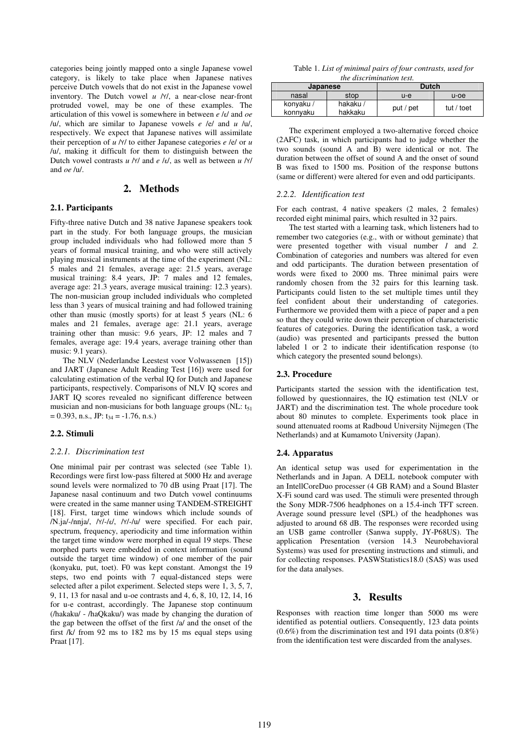categories being jointly mapped onto a single Japanese vowel category, is likely to take place when Japanese natives perceive Dutch vowels that do not exist in the Japanese vowel inventory. The Dutch vowel *u* /Y/, a near-close near-front protruded vowel, may be one of these examples. The articulation of this vowel is somewhere in between *e* /ε/ and *oe* /u/, which are similar to Japanese vowels *e* /e/ and *u* /u/, respectively. We expect that Japanese natives will assimilate their perception of *u* /Y/ to either Japanese categories *e* /e/ or *u* /u/, making it difficult for them to distinguish between the Dutch vowel contrasts *u* /Y/ and *e* /ε/, as well as between *u* /Y/ and *oe* /u/.

## **2. Methods**

#### **2.1. Participants**

Fifty-three native Dutch and 38 native Japanese speakers took part in the study. For both language groups, the musician group included individuals who had followed more than 5 years of formal musical training, and who were still actively playing musical instruments at the time of the experiment (NL: 5 males and 21 females, average age: 21.5 years, average musical training: 8.4 years, JP: 7 males and 12 females, average age: 21.3 years, average musical training: 12.3 years). The non-musician group included individuals who completed less than 3 years of musical training and had followed training other than music (mostly sports) for at least 5 years (NL: 6 males and 21 females, average age: 21.1 years, average training other than music: 9.6 years, JP: 12 males and 7 females, average age: 19.4 years, average training other than music: 9.1 years).

The NLV (Nederlandse Leestest voor Volwassenen [15]) and JART (Japanese Adult Reading Test [16]) were used for calculating estimation of the verbal IQ for Dutch and Japanese participants, respectively. Comparisons of NLV IQ scores and JART IQ scores revealed no significant difference between musician and non-musicians for both language groups (NL:  $t_{51}$ )  $= 0.393$ , n.s., JP: t<sub>34</sub> = -1.76, n.s.)

#### **2.2. Stimuli**

#### *2.2.1. Discrimination test*

One minimal pair per contrast was selected (see Table 1). Recordings were first low-pass filtered at 5000 Hz and average sound levels were normalized to 70 dB using Praat [17]. The Japanese nasal continuum and two Dutch vowel continuums were created in the same manner using TANDEM-STREIGHT [18]. First, target time windows which include sounds of /N.ja/-/nnja/, /Y/-/ε/, /Y/-/u/ were specified. For each pair, spectrum, frequency, aperiodicity and time information within the target time window were morphed in equal 19 steps. These morphed parts were embedded in context information (sound outside the target time window) of one member of the pair (konyaku, put, toet). F0 was kept constant. Amongst the 19 steps, two end points with 7 equal-distanced steps were selected after a pilot experiment. Selected steps were 1, 3, 5, 7, 9, 11, 13 for nasal and u-oe contrasts and 4, 6, 8, 10, 12, 14, 16 for u-e contrast, accordingly. The Japanese stop continuum (/hakaku/ - /haQkaku/) was made by changing the duration of the gap between the offset of the first /a/ and the onset of the first /k/ from 92 ms to 182 ms by 15 ms equal steps using Praat [17].

Table 1. *List of minimal pairs of four contrasts, used for the discrimination test.* 

| Japanese              |                     | <b>Dutch</b> |            |
|-----------------------|---------------------|--------------|------------|
| nasal                 | stop                | $u-e$        | $u$ -oe    |
| konyaku /<br>konnyaku | hakaku /<br>hakkaku | put / pet    | tut / toet |

The experiment employed a two-alternative forced choice (2AFC) task, in which participants had to judge whether the two sounds (sound A and B) were identical or not. The duration between the offset of sound A and the onset of sound B was fixed to 1500 ms. Position of the response buttons (same or different) were altered for even and odd participants.

#### *2.2.2. Identification test*

For each contrast, 4 native speakers (2 males, 2 females) recorded eight minimal pairs, which resulted in 32 pairs.

The test started with a learning task, which listeners had to remember two categories (e.g., with or without geminate) that were presented together with visual number *1* and *2.* Combination of categories and numbers was altered for even and odd participants. The duration between presentation of words were fixed to 2000 ms. Three minimal pairs were randomly chosen from the 32 pairs for this learning task. Participants could listen to the set multiple times until they feel confident about their understanding of categories. Furthermore we provided them with a piece of paper and a pen so that they could write down their perception of characteristic features of categories. During the identification task, a word (audio) was presented and participants pressed the button labeled 1 or 2 to indicate their identification response (to which category the presented sound belongs).

#### **2.3. Procedure**

Participants started the session with the identification test, followed by questionnaires, the IQ estimation test (NLV or JART) and the discrimination test. The whole procedure took about 80 minutes to complete. Experiments took place in sound attenuated rooms at Radboud University Nijmegen (The Netherlands) and at Kumamoto University (Japan).

#### **2.4. Apparatus**

An identical setup was used for experimentation in the Netherlands and in Japan. A DELL notebook computer with an IntellCoreDuo processer (4 GB RAM) and a Sound Blaster X-Fi sound card was used. The stimuli were presented through the Sony MDR-7506 headphones on a 15.4-inch TFT screen. Average sound pressure level (SPL) of the headphones was adjusted to around 68 dB. The responses were recorded using an USB game controller (Sanwa supply, JY-P68US). The application Presentation (version 14.3 Neurobehavioral Systems) was used for presenting instructions and stimuli, and for collecting responses. PASWStatistics18.0 (SAS) was used for the data analyses.

## **3. Results**

Responses with reaction time longer than 5000 ms were identified as potential outliers. Consequently, 123 data points (0.6%) from the discrimination test and 191 data points (0.8%) from the identification test were discarded from the analyses.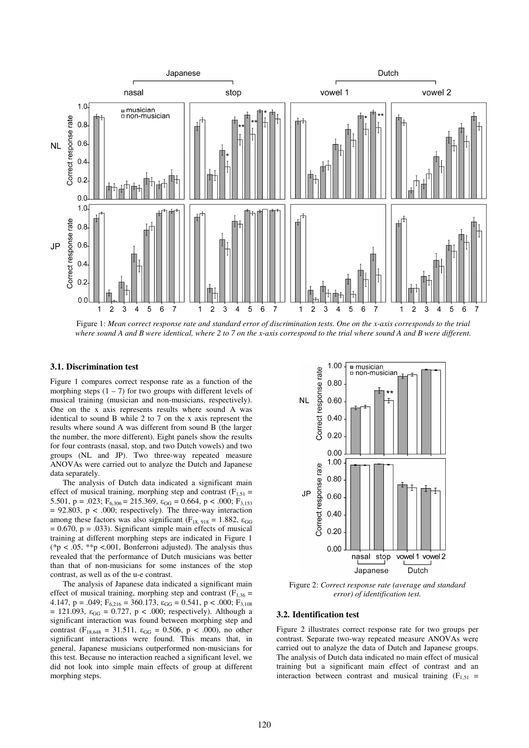

Figure 1: *Mean correct response rate and standard error of discrimination tests. One on the x-axis corresponds to the trial where sound A and B were identical, where 2 to 7 on the x-axis correspond to the trial where sound A and B were different.*

### **3.1. Discrimination test**

Figure 1 compares correct response rate as a function of the morphing steps  $(1 – 7)$  for two groups with different levels of musical training (musician and non-musicians, respectively). One on the x axis represents results where sound A was identical to sound B while 2 to 7 on the x axis represent the results where sound A was different from sound B (the larger the number, the more different). Eight panels show the results for four contrasts (nasal, stop, and two Dutch vowels) and two groups (NL and JP). Two three-way repeated measure ANOVAs were carried out to analyze the Dutch and Japanese data separately.

The analysis of Dutch data indicated a significant main effect of musical training, morphing step and contrast  $(F_{1,51} =$ 5.501, p = .023;  $F_{6,306} = 215.369$ ,  $\varepsilon_{GG} = 0.664$ , p < .000;  $F_{3,153}$  $= 92.803$ ,  $p < .000$ ; respectively). The three-way interaction among these factors was also significant ( $F_{18, 918} = 1.882$ ,  $\varepsilon_{GG}$ )  $= 0.670$ ,  $p = .033$ ). Significant simple main effects of musical training at different morphing steps are indicated in Figure 1 (\*p < .05, \*\*p < .001, Bonferroni adjusted). The analysis thus revealed that the performance of Dutch musicians was better than that of non-musicians for some instances of the stop contrast, as well as of the u-e contrast.

The analysis of Japanese data indicated a significant main effect of musical training, morphing step and contrast ( $F_{1,36}$  = 4.147, p = .049;  $F_{6,216} = 360.173$ ,  $\varepsilon_{GG} = 0.541$ , p < .000;  $F_{3,108}$ = 121.093,  $\varepsilon_{GG}$  = 0.727, p < .000; respectively). Although a significant interaction was found between morphing step and contrast (F<sub>18,648</sub> = 31.511,  $\varepsilon_{GG}$  = 0.506, p < .000), no other significant interactions were found. This means that, in general, Japanese musicians outperformed non-musicians for this test. Because no interaction reached a significant level, we did not look into simple main effects of group at different morphing steps.



Figure 2: *Correct response rate (average and standard error) of identification test.*

### **3.2. Identification test**

Figure 2 illustrates correct response rate for two groups per contrast. Separate two-way repeated measure ANOVAs were carried out to analyze the data of Dutch and Japanese groups. The analysis of Dutch data indicated no main effect of musical training but a significant main effect of contrast and an interaction between contrast and musical training  $(F_{1,51}$  =